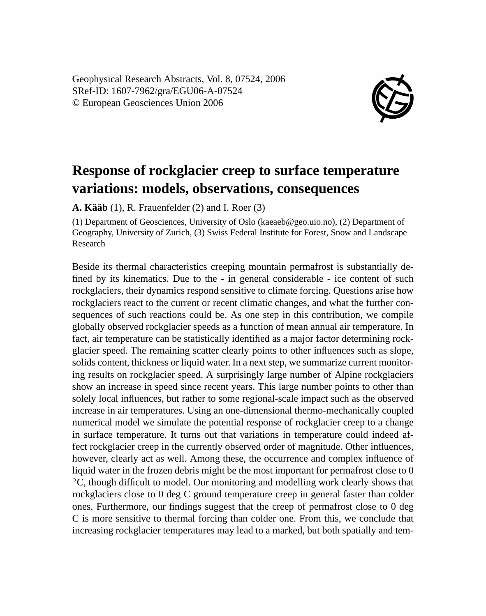Geophysical Research Abstracts, Vol. 8, 07524, 2006 SRef-ID: 1607-7962/gra/EGU06-A-07524 © European Geosciences Union 2006



## **Response of rockglacier creep to surface temperature variations: models, observations, consequences**

**A. Kääb** (1), R. Frauenfelder (2) and I. Roer (3)

(1) Department of Geosciences, University of Oslo (kaeaeb@geo.uio.no), (2) Department of Geography, University of Zurich, (3) Swiss Federal Institute for Forest, Snow and Landscape Research

Beside its thermal characteristics creeping mountain permafrost is substantially defined by its kinematics. Due to the - in general considerable - ice content of such rockglaciers, their dynamics respond sensitive to climate forcing. Questions arise how rockglaciers react to the current or recent climatic changes, and what the further consequences of such reactions could be. As one step in this contribution, we compile globally observed rockglacier speeds as a function of mean annual air temperature. In fact, air temperature can be statistically identified as a major factor determining rockglacier speed. The remaining scatter clearly points to other influences such as slope, solids content, thickness or liquid water. In a next step, we summarize current monitoring results on rockglacier speed. A surprisingly large number of Alpine rockglaciers show an increase in speed since recent years. This large number points to other than solely local influences, but rather to some regional-scale impact such as the observed increase in air temperatures. Using an one-dimensional thermo-mechanically coupled numerical model we simulate the potential response of rockglacier creep to a change in surface temperature. It turns out that variations in temperature could indeed affect rockglacier creep in the currently observed order of magnitude. Other influences, however, clearly act as well. Among these, the occurrence and complex influence of liquid water in the frozen debris might be the most important for permafrost close to 0 ◦C, though difficult to model. Our monitoring and modelling work clearly shows that rockglaciers close to 0 deg C ground temperature creep in general faster than colder ones. Furthermore, our findings suggest that the creep of permafrost close to 0 deg C is more sensitive to thermal forcing than colder one. From this, we conclude that increasing rockglacier temperatures may lead to a marked, but both spatially and tem